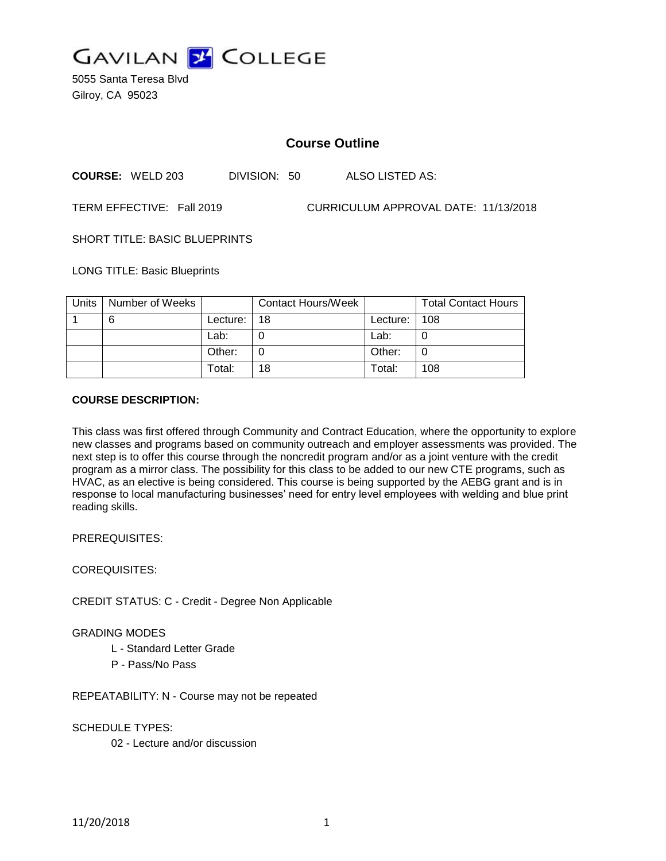

5055 Santa Teresa Blvd Gilroy, CA 95023

# **Course Outline**

**COURSE:** WELD 203 DIVISION: 50 ALSO LISTED AS:

TERM EFFECTIVE: Fall 2019 CURRICULUM APPROVAL DATE: 11/13/2018

SHORT TITLE: BASIC BLUEPRINTS

LONG TITLE: Basic Blueprints

| Units | Number of Weeks |          | <b>Contact Hours/Week</b> |            | <b>Total Contact Hours</b> |
|-------|-----------------|----------|---------------------------|------------|----------------------------|
|       | 6               | Lecture: | 18                        | Lecture: I | 108                        |
|       |                 | Lab:     |                           | Lab:       |                            |
|       |                 | Other:   |                           | Other:     |                            |
|       |                 | Total:   | 18                        | Total:     | 108                        |

#### **COURSE DESCRIPTION:**

This class was first offered through Community and Contract Education, where the opportunity to explore new classes and programs based on community outreach and employer assessments was provided. The next step is to offer this course through the noncredit program and/or as a joint venture with the credit program as a mirror class. The possibility for this class to be added to our new CTE programs, such as HVAC, as an elective is being considered. This course is being supported by the AEBG grant and is in response to local manufacturing businesses' need for entry level employees with welding and blue print reading skills.

PREREQUISITES:

COREQUISITES:

CREDIT STATUS: C - Credit - Degree Non Applicable

#### GRADING MODES

- L Standard Letter Grade
- P Pass/No Pass

REPEATABILITY: N - Course may not be repeated

SCHEDULE TYPES:

02 - Lecture and/or discussion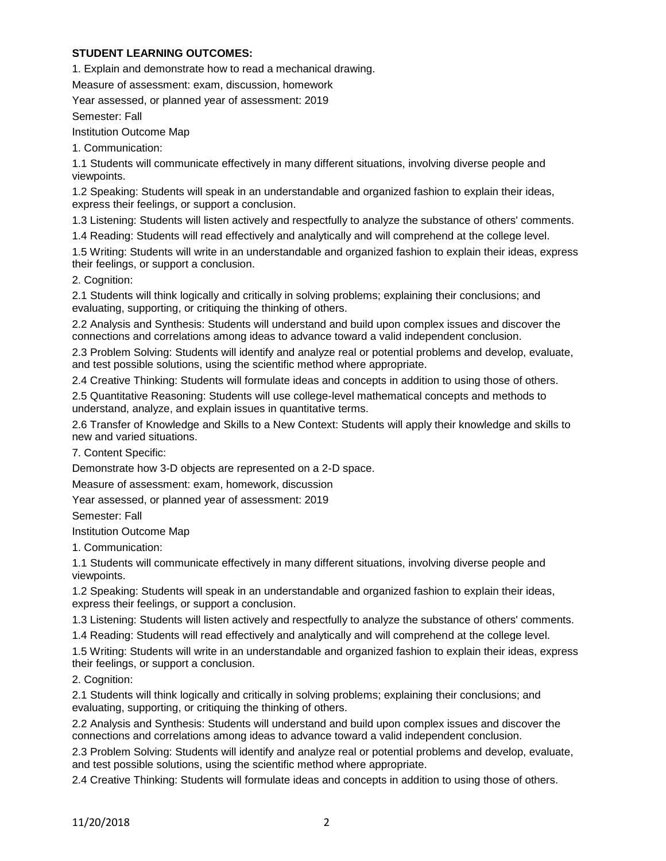#### **STUDENT LEARNING OUTCOMES:**

1. Explain and demonstrate how to read a mechanical drawing.

Measure of assessment: exam, discussion, homework

Year assessed, or planned year of assessment: 2019

Semester: Fall

Institution Outcome Map

1. Communication:

1.1 Students will communicate effectively in many different situations, involving diverse people and viewpoints.

1.2 Speaking: Students will speak in an understandable and organized fashion to explain their ideas, express their feelings, or support a conclusion.

1.3 Listening: Students will listen actively and respectfully to analyze the substance of others' comments.

1.4 Reading: Students will read effectively and analytically and will comprehend at the college level.

1.5 Writing: Students will write in an understandable and organized fashion to explain their ideas, express their feelings, or support a conclusion.

2. Cognition:

2.1 Students will think logically and critically in solving problems; explaining their conclusions; and evaluating, supporting, or critiquing the thinking of others.

2.2 Analysis and Synthesis: Students will understand and build upon complex issues and discover the connections and correlations among ideas to advance toward a valid independent conclusion.

2.3 Problem Solving: Students will identify and analyze real or potential problems and develop, evaluate, and test possible solutions, using the scientific method where appropriate.

2.4 Creative Thinking: Students will formulate ideas and concepts in addition to using those of others.

2.5 Quantitative Reasoning: Students will use college-level mathematical concepts and methods to understand, analyze, and explain issues in quantitative terms.

2.6 Transfer of Knowledge and Skills to a New Context: Students will apply their knowledge and skills to new and varied situations.

7. Content Specific:

Demonstrate how 3-D objects are represented on a 2-D space.

Measure of assessment: exam, homework, discussion

Year assessed, or planned year of assessment: 2019

Semester: Fall

Institution Outcome Map

1. Communication:

1.1 Students will communicate effectively in many different situations, involving diverse people and viewpoints.

1.2 Speaking: Students will speak in an understandable and organized fashion to explain their ideas, express their feelings, or support a conclusion.

1.3 Listening: Students will listen actively and respectfully to analyze the substance of others' comments.

1.4 Reading: Students will read effectively and analytically and will comprehend at the college level.

1.5 Writing: Students will write in an understandable and organized fashion to explain their ideas, express their feelings, or support a conclusion.

2. Cognition:

2.1 Students will think logically and critically in solving problems; explaining their conclusions; and evaluating, supporting, or critiquing the thinking of others.

2.2 Analysis and Synthesis: Students will understand and build upon complex issues and discover the connections and correlations among ideas to advance toward a valid independent conclusion.

2.3 Problem Solving: Students will identify and analyze real or potential problems and develop, evaluate, and test possible solutions, using the scientific method where appropriate.

2.4 Creative Thinking: Students will formulate ideas and concepts in addition to using those of others.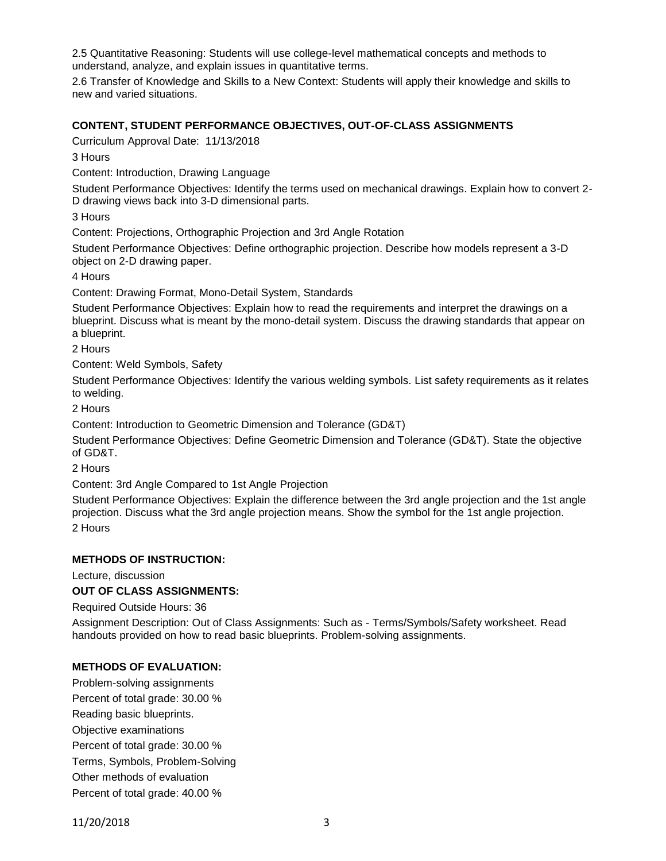2.5 Quantitative Reasoning: Students will use college-level mathematical concepts and methods to understand, analyze, and explain issues in quantitative terms.

2.6 Transfer of Knowledge and Skills to a New Context: Students will apply their knowledge and skills to new and varied situations.

## **CONTENT, STUDENT PERFORMANCE OBJECTIVES, OUT-OF-CLASS ASSIGNMENTS**

Curriculum Approval Date: 11/13/2018

3 Hours

Content: Introduction, Drawing Language

Student Performance Objectives: Identify the terms used on mechanical drawings. Explain how to convert 2- D drawing views back into 3-D dimensional parts.

3 Hours

Content: Projections, Orthographic Projection and 3rd Angle Rotation

Student Performance Objectives: Define orthographic projection. Describe how models represent a 3-D object on 2-D drawing paper.

4 Hours

Content: Drawing Format, Mono-Detail System, Standards

Student Performance Objectives: Explain how to read the requirements and interpret the drawings on a blueprint. Discuss what is meant by the mono-detail system. Discuss the drawing standards that appear on a blueprint.

2 Hours

Content: Weld Symbols, Safety

Student Performance Objectives: Identify the various welding symbols. List safety requirements as it relates to welding.

2 Hours

Content: Introduction to Geometric Dimension and Tolerance (GD&T)

Student Performance Objectives: Define Geometric Dimension and Tolerance (GD&T). State the objective of GD&T.

2 Hours

Content: 3rd Angle Compared to 1st Angle Projection

Student Performance Objectives: Explain the difference between the 3rd angle projection and the 1st angle projection. Discuss what the 3rd angle projection means. Show the symbol for the 1st angle projection.

2 Hours

#### **METHODS OF INSTRUCTION:**

Lecture, discussion

#### **OUT OF CLASS ASSIGNMENTS:**

Required Outside Hours: 36

Assignment Description: Out of Class Assignments: Such as - Terms/Symbols/Safety worksheet. Read handouts provided on how to read basic blueprints. Problem-solving assignments.

#### **METHODS OF EVALUATION:**

Problem-solving assignments Percent of total grade: 30.00 % Reading basic blueprints. Objective examinations Percent of total grade: 30.00 % Terms, Symbols, Problem-Solving Other methods of evaluation Percent of total grade: 40.00 %